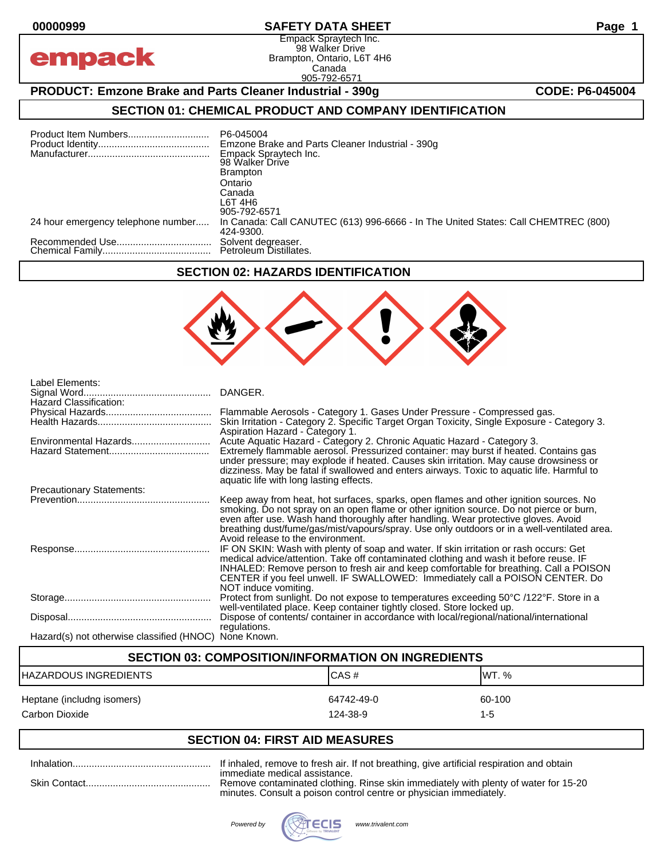empack

## **00000999 SAFETY DATA SHEET Page 1**

Empack Spraytech Inc. 98 Walker Drive Brampton, Ontario, L6T 4H6 Canada 905-792-6571

# **PRODUCT: Emzone Brake and Parts Cleaner Industrial - 390g <b>CODE: P6-045004**

# **SECTION 01: CHEMICAL PRODUCT AND COMPANY IDENTIFICATION**

|                                    | P6-045004<br>Emzone Brake and Parts Cleaner Industrial - 390g<br>Empack Spraytech Inc.<br>98 Walker Drive<br><b>Brampton</b><br>Ontario<br>Canada<br>L6T 4H6<br>905-792-6571 |
|------------------------------------|------------------------------------------------------------------------------------------------------------------------------------------------------------------------------|
| 24 hour emergency telephone number | In Canada: Call CANUTEC (613) 996-6666 - In The United States: Call CHEMTREC (800)<br>424-9300.                                                                              |
|                                    | Solvent degreaser.                                                                                                                                                           |

#### **SECTION 02: HAZARDS IDENTIFICATION**



| Label Elements:<br>Hazard Classification:             | Flammable Aerosols - Category 1. Gases Under Pressure - Compressed gas.<br>Skin Irritation - Category 2. Specific Target Organ Toxicity, Single Exposure - Category 3.<br>Aspiration Hazard - Category 1.                                                                                                                                                                                                  |
|-------------------------------------------------------|------------------------------------------------------------------------------------------------------------------------------------------------------------------------------------------------------------------------------------------------------------------------------------------------------------------------------------------------------------------------------------------------------------|
| Environmental Hazards                                 | Acute Aquatic Hazard - Category 2. Chronic Aquatic Hazard - Category 3.<br>Extremely flammable aerosol. Pressurized container: may burst if heated. Contains gas<br>under pressure; may explode if heated. Causes skin irritation. May cause drowsiness or<br>dizziness. May be fatal if swallowed and enters airways. Toxic to aquatic life. Harmful to<br>aquatic life with long lasting effects.        |
| <b>Precautionary Statements:</b>                      |                                                                                                                                                                                                                                                                                                                                                                                                            |
|                                                       | Keep away from heat, hot surfaces, sparks, open flames and other ignition sources. No<br>smoking. Do not spray on an open flame or other ignition source. Do not pierce or burn,<br>even after use. Wash hand thoroughly after handling. Wear protective gloves. Avoid<br>breathing dust/fume/gas/mist/vapours/spray. Use only outdoors or in a well-ventilated area.<br>Avoid release to the environment. |
|                                                       | IF ON SKIN: Wash with plenty of soap and water. If skin irritation or rash occurs: Get<br>medical advice/attention. Take off contaminated clothing and wash it before reuse. IF<br>INHALED: Remove person to fresh air and keep comfortable for breathing. Call a POISON<br>CENTER if you feel unwell. IF SWALLOWED: Immediately call a POISON CENTER. Do<br>NOT induce vomiting.                          |
|                                                       | Protect from sunlight. Do not expose to temperatures exceeding 50°C /122°F. Store in a<br>well-ventilated place. Keep container tightly closed. Store locked up.                                                                                                                                                                                                                                           |
|                                                       | Dispose of contents/ container in accordance with local/regional/national/international<br>regulations.                                                                                                                                                                                                                                                                                                    |
| Hazard(s) not otherwise classified (HNOC) None Known. |                                                                                                                                                                                                                                                                                                                                                                                                            |

| <b>SECTION 03: COMPOSITION/INFORMATION ON INGREDIENTS</b> |                        |                   |  |  |  |
|-----------------------------------------------------------|------------------------|-------------------|--|--|--|
| ICAS#<br>HAZARDOUS INGREDIENTS<br>IWT. %                  |                        |                   |  |  |  |
| Heptane (includng isomers)<br>Carbon Dioxide              | 64742-49-0<br>124-38-9 | 60-100<br>$1 - 5$ |  |  |  |

# **SECTION 04: FIRST AID MEASURES**

| immer<br>minute |
|-----------------|

lled, remove to fresh air. If not breathing, give artificial respiration and obtain diate medical assistance.

ve contaminated clothing. Rinse skin immediately with plenty of water for 15-20 es. Consult a poison control centre or physician immediately.

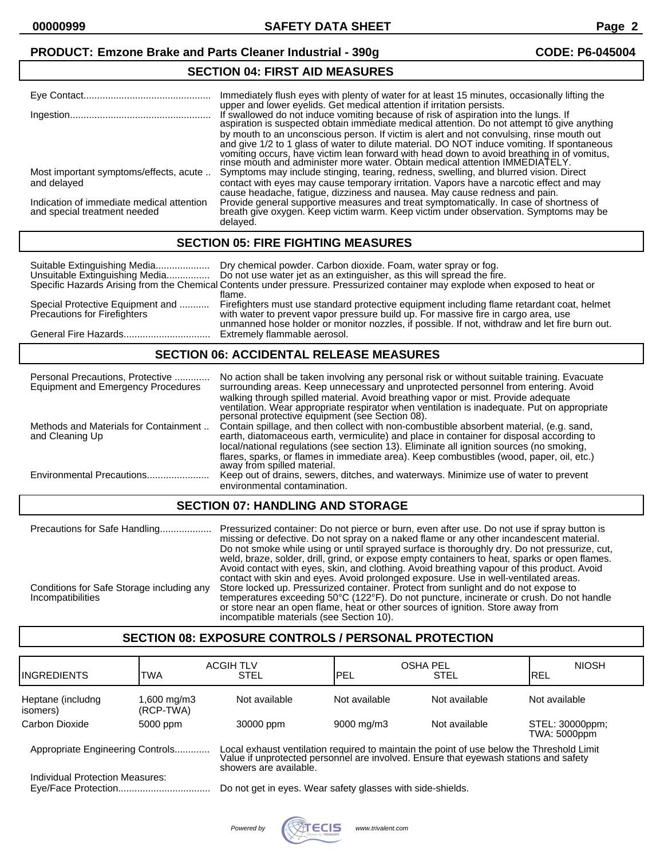# **PRODUCT: Emzone Brake and Parts Cleaner Industrial - 390g CODE: P6-045004**

#### **SECTION 04: FIRST AID MEASURES**

| Eye Contact                               | Immediately flush eyes with plenty of water for at least 15 minutes, occasionally lifting the<br>upper and lower eyelids. Get medical attention if irritation persists.<br>If swallowed do not induce vomiting because of risk of aspiration into the lungs. If aspiration is suspected obtain immediate medical attention. Do not attempt to give anything<br>by mouth to an unconscious person. If victim is alert and not convulsing, rinse mouth out<br>and give 1/2 to 1 glass of water to dilute material. DO NOT induce vomiting. If spontaneous<br>vomiting occurs, have victim lean forward with head down to avoid breathing in of vomitus, rinse mouth and administer more water. Obtain medical attention IMMEDIATELY. |
|-------------------------------------------|------------------------------------------------------------------------------------------------------------------------------------------------------------------------------------------------------------------------------------------------------------------------------------------------------------------------------------------------------------------------------------------------------------------------------------------------------------------------------------------------------------------------------------------------------------------------------------------------------------------------------------------------------------------------------------------------------------------------------------|
| Most important symptoms/effects, acute    | Symptoms may include stinging, tearing, redness, swelling, and blurred vision. Direct                                                                                                                                                                                                                                                                                                                                                                                                                                                                                                                                                                                                                                              |
| and delayed                               | contact with eyes may cause temporary irritation. Vapors have a narcotic effect and may                                                                                                                                                                                                                                                                                                                                                                                                                                                                                                                                                                                                                                            |
|                                           | cause headache, fatigue, dizziness and nausea. May cause redness and pain.                                                                                                                                                                                                                                                                                                                                                                                                                                                                                                                                                                                                                                                         |
| Indication of immediate medical attention | Provide general supportive measures and treat symptomatically. In case of shortness of breath give oxygen. Keep victim warm. Keep victim under observation. Symptoms may be                                                                                                                                                                                                                                                                                                                                                                                                                                                                                                                                                        |
| and special treatment needed              | delayed.                                                                                                                                                                                                                                                                                                                                                                                                                                                                                                                                                                                                                                                                                                                           |

#### **SECTION 05: FIRE FIGHTING MEASURES**

| Suitable Extinguishing Media                                            | Dry chemical powder. Carbon dioxide. Foam, water spray or fog.<br>Unsuitable Extinguishing Media Do not use water jet as an extinguisher, as this will spread the fire.<br>Specific Hazards Arising from the Chemical Contents under pressure. Pressurized container may explode when exposed to heat or |
|-------------------------------------------------------------------------|----------------------------------------------------------------------------------------------------------------------------------------------------------------------------------------------------------------------------------------------------------------------------------------------------------|
| Special Protective Equipment and<br><b>Precautions for Firefighters</b> | flame.<br>Firefighters must use standard protective equipment including flame retardant coat, helmet<br>with water to prevent vapor pressure build up. For massive fire in cargo area, use<br>unmanned hose holder or monitor nozzles, if possible. If not, withdraw and let fire burn out.              |
|                                                                         | Extremely flammable aerosol.                                                                                                                                                                                                                                                                             |

#### **SECTION 06: ACCIDENTAL RELEASE MEASURES**

| Personal Precautions, Protective<br><b>Equipment and Emergency Procedures</b> | No action shall be taken involving any personal risk or without suitable training. Evacuate<br>surrounding areas. Keep unnecessary and unprotected personnel from entering. Avoid<br>walking through spilled material. Avoid breathing vapor or mist. Provide adequate<br>ventilation. Wear appropriate respirator when ventilation is inadequate. Put on appropriate personal protective equipment (see Section 08). |  |
|-------------------------------------------------------------------------------|-----------------------------------------------------------------------------------------------------------------------------------------------------------------------------------------------------------------------------------------------------------------------------------------------------------------------------------------------------------------------------------------------------------------------|--|
| Methods and Materials for Containment<br>and Cleaning Up                      | Contain spillage, and then collect with non-combustible absorbent material, (e.g. sand,<br>earth, diatomaceous earth, vermiculite) and place in container for disposal according to                                                                                                                                                                                                                                   |  |
|                                                                               | local/national regulations (see section 13). Eliminate all ignition sources (no smoking,<br>flares, sparks, or flames in immediate area). Keep combustibles (wood, paper, oil, etc.)<br>away from spilled material.                                                                                                                                                                                                   |  |
| Environmental Precautions                                                     | Keep out of drains, sewers, ditches, and waterways. Minimize use of water to prevent<br>environmental contamination.                                                                                                                                                                                                                                                                                                  |  |
| <b>SECTION 07: HANDLING AND STORAGE</b>                                       |                                                                                                                                                                                                                                                                                                                                                                                                                       |  |

#### Precautions for Safe Handling................... Pressurized container: Do not pierce or burn, even after use. Do not use if spray button is missing or defective. Do not spray on a naked flame or any other incandescent material. Do not smoke while using or until sprayed surface is thoroughly dry. Do not pressurize, cut, weld, braze, solder, drill, grind, or expose empty containers to heat, sparks or open flames. Avoid contact with eyes, skin, and clothing. Avoid breathing vapour of this product. Avoid contact with skin and eyes. Avoid prolonged exposure. Use in well-ventilated areas. Conditions for Safe Storage including any Store locked up. Pressurized container. Protect from sunlight and do not expose to Conditions for Safe Storage including any Store locked up. Pressurized container. Protect from sunlight and do not expose to<br>Incompatibilities the state of crush. Do not handle or store near an open flame, heat or other sources of ignition. Store away from incompatible materials (see Section 10).

# **SECTION 08: EXPOSURE CONTROLS / PERSONAL PROTECTION**

| <b>IINGREDIENTS</b>                                                 | TWA                     | <b>ACGIH TLV</b><br><b>STEL</b>                                                                                                                                                | PEL                    | <b>OSHA PEL</b><br><b>STEL</b> | <b>NIOSH</b><br>IREL                   |
|---------------------------------------------------------------------|-------------------------|--------------------------------------------------------------------------------------------------------------------------------------------------------------------------------|------------------------|--------------------------------|----------------------------------------|
| Heptane (includng<br>isomers)                                       | .600 mg/m3<br>(RCP-TWA) | Not available                                                                                                                                                                  | Not available          | Not available                  | Not available                          |
| Carbon Dioxide                                                      | 5000 ppm                | 30000 ppm                                                                                                                                                                      | $9000 \,\mathrm{mq/m}$ | Not available                  | STEL: 30000ppm;<br><b>TWA: 5000ppm</b> |
| Appropriate Engineering Controls<br>Individual Protection Measures: |                         | Local exhaust ventilation required to maintain the point of use below the Threshold Limit Value if unprotected personnel are involved. Ensure that eyewash stations and safety |                        |                                |                                        |
|                                                                     |                         | showers are available.<br>Do not get in eyes. Wear safety glasses with side-shields.                                                                                           |                        |                                |                                        |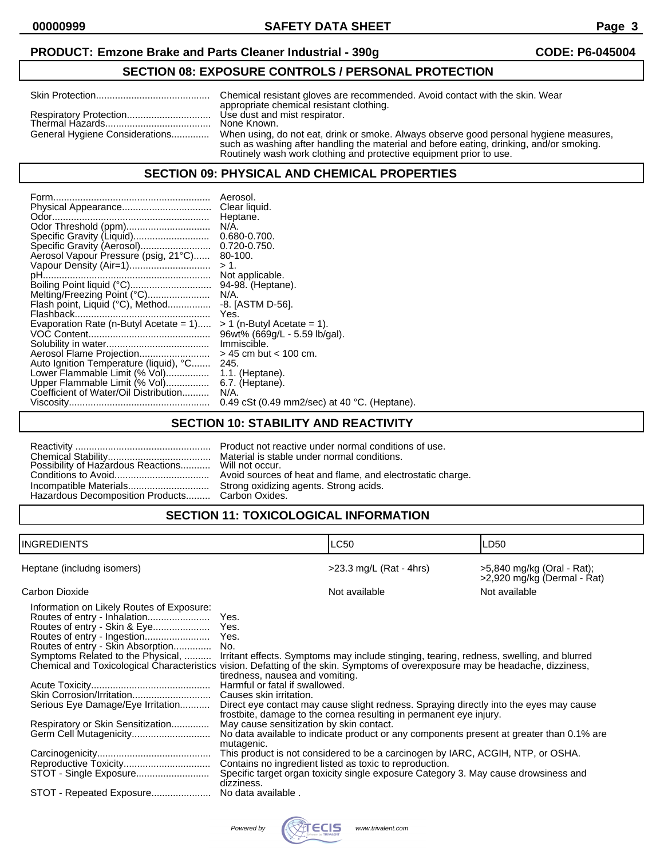## **PRODUCT: Emzone Brake and Parts Cleaner Industrial - 390g CODE: P6-045004**

## **SECTION 08: EXPOSURE CONTROLS / PERSONAL PROTECTION**

|                                | Chemical resistant gloves are recommended. Avoid contact with the skin. Wear<br>appropriate chemical resistant clothing.                                                                                                                                  |
|--------------------------------|-----------------------------------------------------------------------------------------------------------------------------------------------------------------------------------------------------------------------------------------------------------|
|                                | Use dust and mist respirator.<br>None Known.                                                                                                                                                                                                              |
| General Hygiene Considerations | When using, do not eat, drink or smoke. Always observe good personal hygiene measures,<br>such as washing after handling the material and before eating, drinking, and/or smoking.<br>Routinely wash work clothing and protective equipment prior to use. |

#### **SECTION 09: PHYSICAL AND CHEMICAL PROPERTIES**

| Odor Threshold (ppm)<br>Specific Gravity (Liquid)<br>Aerosol Vapour Pressure (psig, 21°C)<br>Vapour Density (Air=1)<br>Melting/Freezing Point (°C)<br>Flash point, Liquid (°C), Method<br>Evaporation Rate (n-Butyl Acetate = $1$ )<br>Aerosol Flame Projection<br>Auto Ignition Temperature (liquid), °C<br>Lower Flammable Limit (% Vol) | Aerosol.<br>Clear liquid.<br>Heptane.<br>N/A.<br>0.680-0.700.<br>$0.720 - 0.750.$<br>80-100.<br>$> 1$ .<br>Not applicable.<br>94-98. (Heptane).<br>$N/A$ .<br>-8. [ASTM D-56].<br>Yes.<br>$> 1$ (n-Butyl Acetate = 1).<br>96wt% (669g/L - 5.59 lb/gal).<br>Immiscible.<br>$>$ 45 cm but $<$ 100 cm.<br>245.<br>$1.1.$ (Heptane). |
|--------------------------------------------------------------------------------------------------------------------------------------------------------------------------------------------------------------------------------------------------------------------------------------------------------------------------------------------|----------------------------------------------------------------------------------------------------------------------------------------------------------------------------------------------------------------------------------------------------------------------------------------------------------------------------------|
|                                                                                                                                                                                                                                                                                                                                            |                                                                                                                                                                                                                                                                                                                                  |
| Upper Flammable Limit (% Vol)                                                                                                                                                                                                                                                                                                              | 6.7. (Heptane).                                                                                                                                                                                                                                                                                                                  |
| Coefficient of Water/Oil Distribution                                                                                                                                                                                                                                                                                                      | N/A.                                                                                                                                                                                                                                                                                                                             |
|                                                                                                                                                                                                                                                                                                                                            | 0.49 cSt (0.49 mm2/sec) at 40 $^{\circ}$ C. (Heptane).                                                                                                                                                                                                                                                                           |

# **SECTION 10: STABILITY AND REACTIVITY**

|                                                | Product not rea<br>Avoid sources<br>Strong oxidizin |
|------------------------------------------------|-----------------------------------------------------|
| Hazardous Decomposition Products Carbon Oxides |                                                     |

not reactive under normal conditions of use. is stable under normal conditions.<br>occur. ources of heat and flame, and electrostatic charge. ixidizing agents. Strong acids. Oxides.

# **SECTION 11: TOXICOLOGICAL INFORMATION**

| INGREDIENTS                                                                                                                                                                                                                                                                                                                                                                                                                                                                                                                                      |                                                                                                                                                                                                    | LC50                                                                                                                                                                                                                                                                                                                                                                                                                                                                                          | LD50                                                      |
|--------------------------------------------------------------------------------------------------------------------------------------------------------------------------------------------------------------------------------------------------------------------------------------------------------------------------------------------------------------------------------------------------------------------------------------------------------------------------------------------------------------------------------------------------|----------------------------------------------------------------------------------------------------------------------------------------------------------------------------------------------------|-----------------------------------------------------------------------------------------------------------------------------------------------------------------------------------------------------------------------------------------------------------------------------------------------------------------------------------------------------------------------------------------------------------------------------------------------------------------------------------------------|-----------------------------------------------------------|
| Heptane (includng isomers)                                                                                                                                                                                                                                                                                                                                                                                                                                                                                                                       |                                                                                                                                                                                                    | $>23.3$ mg/L (Rat - 4hrs)                                                                                                                                                                                                                                                                                                                                                                                                                                                                     | >5,840 mg/kg (Oral - Rat);<br>>2,920 mg/kg (Dermal - Rat) |
| Carbon Dioxide                                                                                                                                                                                                                                                                                                                                                                                                                                                                                                                                   |                                                                                                                                                                                                    | Not available                                                                                                                                                                                                                                                                                                                                                                                                                                                                                 | Not available                                             |
| Information on Likely Routes of Exposure:<br>Routes of entry - Inhalation<br>Routes of entry - Skin Absorption No.<br>Symptoms Related to the Physical,  Irritant effects. Symptoms may include stinging, tearing, redness, swelling, and blurred<br>Chemical and Toxicological Characteristics vision. Defatting of the skin. Symptoms of overexposure may be headache, dizziness,<br>Skin Corrosion/Irritation<br>Serious Eye Damage/Eye Irritation<br>Respiratory or Skin Sensitization<br>STOT - Single Exposure<br>STOT - Repeated Exposure | Yes.<br>tiredness, nausea and vomiting.<br>Harmful or fatal if swallowed.<br>Causes skin irritation.<br>May cause sensitization by skin contact.<br>mutagenic.<br>dizziness.<br>No data available. | Direct eye contact may cause slight redness. Spraying directly into the eyes may cause<br>frostbite, damage to the cornea resulting in permanent eye injury.<br>No data available to indicate product or any components present at greater than 0.1% are<br>This product is not considered to be a carcinogen by IARC, ACGIH, NTP, or OSHA.<br>Contains no ingredient listed as toxic to reproduction.<br>Specific target organ toxicity single exposure Category 3. May cause drowsiness and |                                                           |

| Powered by | <b>RETTECIS</b><br>TRIVALENT | www.trivalent.com |
|------------|------------------------------|-------------------|
|------------|------------------------------|-------------------|